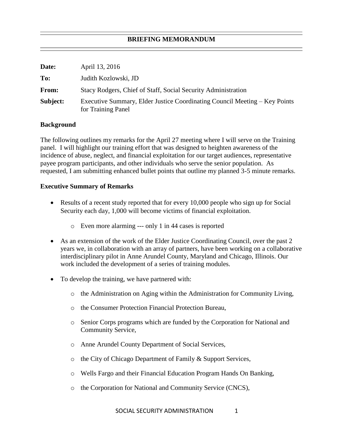## **BRIEFING MEMORANDUM**

| Date:    | April 13, 2016                                                                                   |
|----------|--------------------------------------------------------------------------------------------------|
| To:      | Judith Kozlowski, JD                                                                             |
| From:    | Stacy Rodgers, Chief of Staff, Social Security Administration                                    |
| Subject: | Executive Summary, Elder Justice Coordinating Council Meeting – Key Points<br>for Training Panel |

## **Background**

The following outlines my remarks for the April 27 meeting where I will serve on the Training panel. I will highlight our training effort that was designed to heighten awareness of the incidence of abuse, neglect, and financial exploitation for our target audiences, representative payee program participants, and other individuals who serve the senior population. As requested, I am submitting enhanced bullet points that outline my planned 3-5 minute remarks.

## **Executive Summary of Remarks**

- Results of a recent study reported that for every 10,000 people who sign up for Social Security each day, 1,000 will become victims of financial exploitation.
	- o Even more alarming --- only 1 in 44 cases is reported
- As an extension of the work of the Elder Justice Coordinating Council, over the past 2 years we, in collaboration with an array of partners, have been working on a collaborative interdisciplinary pilot in Anne Arundel County, Maryland and Chicago, Illinois. Our work included the development of a series of training modules.
- To develop the training, we have partnered with:
	- $\circ$  the Administration on Aging within the Administration for Community Living,
	- o the Consumer Protection Financial Protection Bureau,
	- o Senior Corps programs which are funded by the Corporation for National and Community Service,
	- o Anne Arundel County Department of Social Services,
	- o the City of Chicago Department of Family & Support Services,
	- o Wells Fargo and their Financial Education Program Hands On Banking,
	- o the Corporation for National and Community Service (CNCS),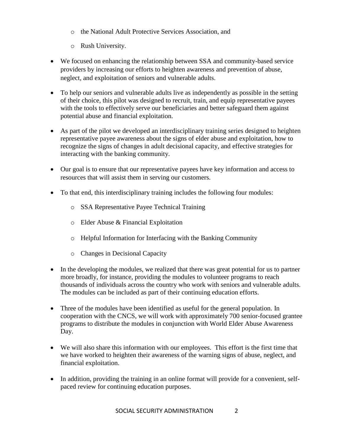- o the National Adult Protective Services Association, and
- o Rush University.
- We focused on enhancing the relationship between SSA and community-based service providers by increasing our efforts to heighten awareness and prevention of abuse, neglect, and exploitation of seniors and vulnerable adults.
- To help our seniors and vulnerable adults live as independently as possible in the setting of their choice, this pilot was designed to recruit, train, and equip representative payees with the tools to effectively serve our beneficiaries and better safeguard them against potential abuse and financial exploitation.
- As part of the pilot we developed an interdisciplinary training series designed to heighten representative payee awareness about the signs of elder abuse and exploitation, how to recognize the signs of changes in adult decisional capacity, and effective strategies for interacting with the banking community.
- Our goal is to ensure that our representative payees have key information and access to resources that will assist them in serving our customers.
- To that end, this interdisciplinary training includes the following four modules:
	- o SSA Representative Payee Technical Training
	- o Elder Abuse & Financial Exploitation
	- o Helpful Information for Interfacing with the Banking Community
	- o Changes in Decisional Capacity
- In the developing the modules, we realized that there was great potential for us to partner more broadly, for instance, providing the modules to volunteer programs to reach thousands of individuals across the country who work with seniors and vulnerable adults. The modules can be included as part of their continuing education efforts.
- Three of the modules have been identified as useful for the general population. In cooperation with the CNCS, we will work with approximately 700 senior-focused grantee programs to distribute the modules in conjunction with World Elder Abuse Awareness Day.
- We will also share this information with our employees. This effort is the first time that we have worked to heighten their awareness of the warning signs of abuse, neglect, and financial exploitation.
- In addition, providing the training in an online format will provide for a convenient, selfpaced review for continuing education purposes.